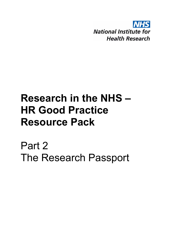

## **Research in the NHS – HR Good Practice Resource Pack**

Part 2 The Research Passport